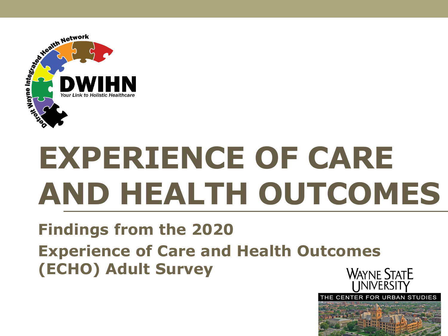

# **EXPERIENCE OF CARE AND HEALTH OUTCOMES**

#### **Findings from the 2020 Experience of Care and Health Outcomes (ECHO) Adult SurveyWAYNE STATE**

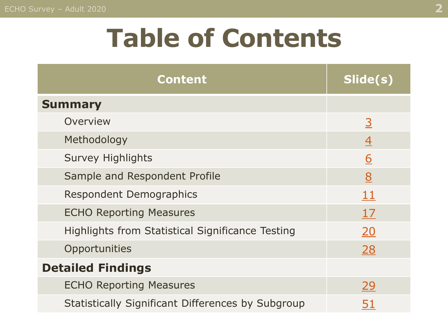## **Table of Contents**

| <b>Content</b>                                          | Slide(s)       |
|---------------------------------------------------------|----------------|
| <b>Summary</b>                                          |                |
| Overview                                                | $\overline{3}$ |
| Methodology                                             | $\overline{4}$ |
| <b>Survey Highlights</b>                                | <u>6</u>       |
| Sample and Respondent Profile                           | 8              |
| <b>Respondent Demographics</b>                          | 11             |
| <b>ECHO Reporting Measures</b>                          | 17             |
| <b>Highlights from Statistical Significance Testing</b> | 20             |
| Opportunities                                           | <u>28</u>      |
| <b>Detailed Findings</b>                                |                |
| <b>ECHO Reporting Measures</b>                          | 29             |
| Statistically Significant Differences by Subgroup       | 51             |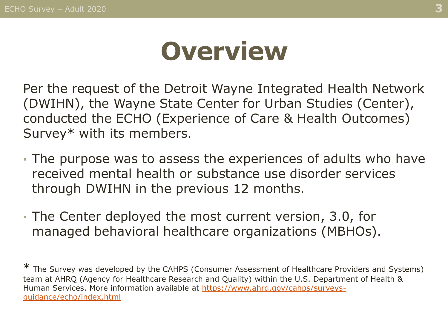## **Overview**

<span id="page-2-0"></span>Per the request of the Detroit Wayne Integrated Health Network (DWIHN), the Wayne State Center for Urban Studies (Center), conducted the ECHO (Experience of Care & Health Outcomes) Survey\* with its members.

- The purpose was to assess the experiences of adults who have received mental health or substance use disorder services through DWIHN in the previous 12 months.
- The Center deployed the most current version, 3.0, for managed behavioral healthcare organizations (MBHOs).

\* The Survey was developed by the CAHPS (Consumer Assessment of Healthcare Providers and Systems) team at AHRQ (Agency for Healthcare Research and Quality) within the U.S. Department of Health & [Human Services. More information available at https://www.ahrq.gov/cahps/surveys](https://www.ahrq.gov/cahps/surveys-guidance/echo/index.html)guidance/echo/index.html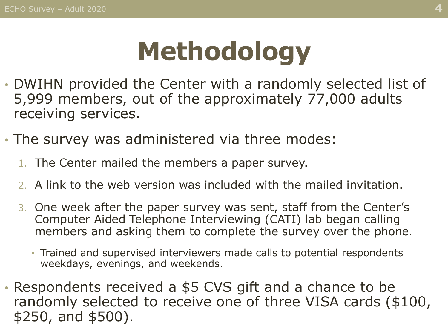# **Methodology**

- <span id="page-3-0"></span>• DWIHN provided the Center with a randomly selected list of 5,999 members, out of the approximately 77,000 adults receiving services.
- The survey was administered via three modes:
	- 1. The Center mailed the members a paper survey.
	- 2. A link to the web version was included with the mailed invitation.
	- 3. One week after the paper survey was sent, staff from the Center's Computer Aided Telephone Interviewing (CATI) lab began calling members and asking them to complete the survey over the phone.
		- Trained and supervised interviewers made calls to potential respondents weekdays, evenings, and weekends.
- Respondents received a \$5 CVS gift and a chance to be randomly selected to receive one of three VISA cards (\$100, \$250, and \$500).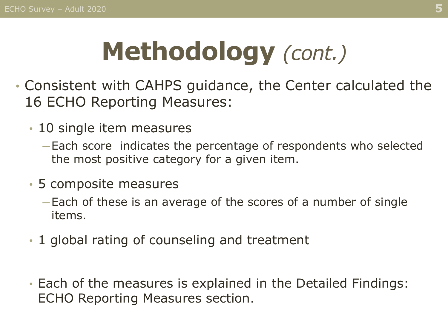# **Methodology** *(cont.)*

- Consistent with CAHPS guidance, the Center calculated the 16 ECHO Reporting Measures:
	- 10 single item measures
		- ─ Each score indicates the percentage of respondents who selected the most positive category for a given item.
	- 5 composite measures
		- ─ Each of these is an average of the scores of a number of single items.
	- 1 global rating of counseling and treatment
	- Each of the measures is explained in the Detailed Findings: ECHO Reporting Measures section.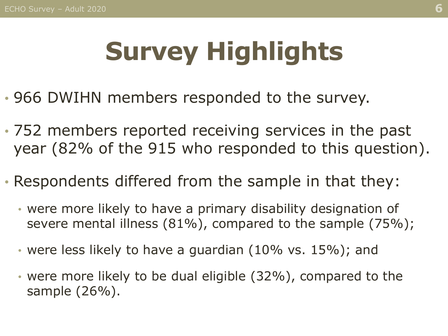# **Survey Highlights**

- <span id="page-5-0"></span>• 966 DWIHN members responded to the survey.
- 752 members reported receiving services in the past year (82% of the 915 who responded to this question).
- Respondents differed from the sample in that they:
	- were more likely to have a primary disability designation of severe mental illness (81%), compared to the sample (75%);
	- were less likely to have a guardian (10% vs. 15%); and
	- were more likely to be dual eligible (32%), compared to the sample (26%).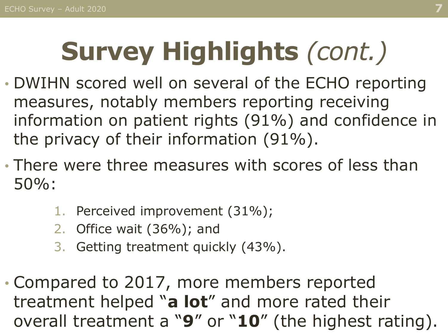# **Survey Highlights** *(cont.)*

- DWIHN scored well on several of the ECHO reporting measures, notably members reporting receiving information on patient rights (91%) and confidence in the privacy of their information (91%).
- There were three measures with scores of less than 50%:
	- 1. Perceived improvement (31%);
	- 2. Office wait (36%); and
	- 3. Getting treatment quickly (43%).
- Compared to 2017, more members reported treatment helped "**a lot**" and more rated their overall treatment a "**9**" or "**10**" (the highest rating).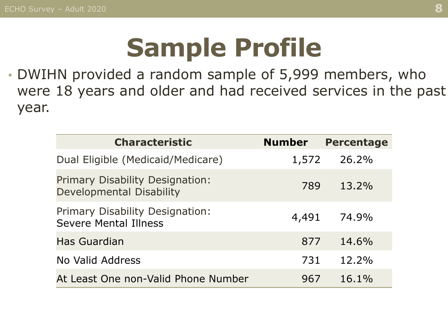## **Sample Profile**

<span id="page-7-0"></span>• DWIHN provided a random sample of 5,999 members, who were 18 years and older and had received services in the past year.

| <b>Characteristic</b>                                                  | <b>Number</b> | <b>Percentage</b> |
|------------------------------------------------------------------------|---------------|-------------------|
| Dual Eligible (Medicaid/Medicare)                                      | 1,572         | 26.2%             |
| Primary Disability Designation:<br>Developmental Disability            | 789           | 13.2%             |
| <b>Primary Disability Designation:</b><br><b>Severe Mental Illness</b> | 4,491         | 74.9%             |
| Has Guardian                                                           | 877           | 14.6%             |
| No Valid Address                                                       | 731           | 12.2%             |
| At Least One non-Valid Phone Number                                    | 967           | $16.1\%$          |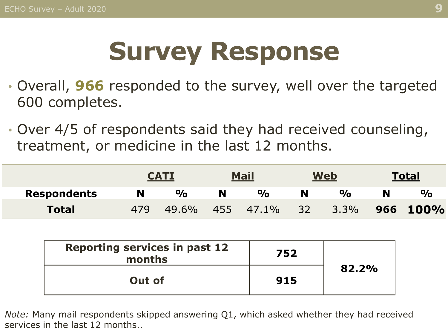# **Survey Response**

- Overall, **966** responded to the survey, well over the targeted 600 completes.
- Over 4/5 of respondents said they had received counseling, treatment, or medicine in the last 12 months.

|                    |     | <b>CATI</b>   |     | <b>Mail</b>          |    | <b>Web</b>    | <b>Total</b>  |
|--------------------|-----|---------------|-----|----------------------|----|---------------|---------------|
| <b>Respondents</b> | N   | $\frac{1}{2}$ |     | $\frac{1}{\sqrt{2}}$ |    | $\frac{1}{2}$ | $\frac{O}{O}$ |
| <b>Total</b>       | 479 | 49.6%         | 455 | 47.1%                | 32 | $3.3\%$       | 966 100%      |

| <b>Reporting services in past 12</b><br>months | 752 |       |
|------------------------------------------------|-----|-------|
| Out of                                         | 915 | 82.2% |

*Note:* Many mail respondents skipped answering Q1, which asked whether they had received services in the last 12 months..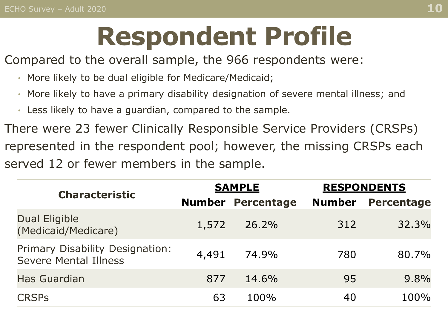# **Respondent Profile**

Compared to the overall sample, the 966 respondents were:

- More likely to be dual eligible for Medicare/Medicaid;
- More likely to have a primary disability designation of severe mental illness; and
- Less likely to have a guardian, compared to the sample.

There were 23 fewer Clinically Responsible Service Providers (CRSPs) represented in the respondent pool; however, the missing CRSPs each served 12 or fewer members in the sample.

| <b>Characteristic</b>                                           | <b>SAMPLE</b> |            | <b>RESPONDENTS</b> |                   |
|-----------------------------------------------------------------|---------------|------------|--------------------|-------------------|
|                                                                 | <b>Number</b> | Percentage | <b>Number</b>      | <b>Percentage</b> |
| Dual Eligible<br>(Medicaid/Medicare)                            | 1,572         | 26.2%      | 312                | 32.3%             |
| Primary Disability Designation:<br><b>Severe Mental Illness</b> | 4,491         | 74.9%      | 780                | 80.7%             |
| <b>Has Guardian</b>                                             | 877           | 14.6%      | 95                 | $9.8\%$           |
| <b>CRSPS</b>                                                    | 63            | 100%       | 40                 | 100%              |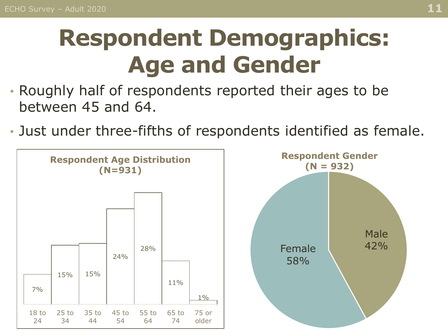## <span id="page-10-0"></span>**Respondent Demographics: Age and Gender**

- Roughly half of respondents reported their ages to be between 45 and 64.
- Just under three-fifths of respondents identified as female.

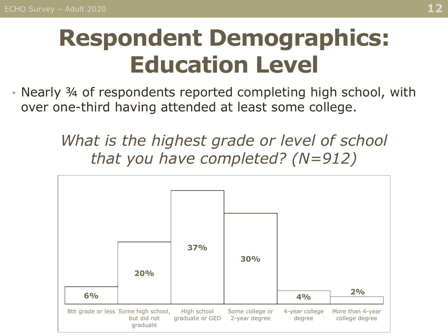### **Respondent Demographics: Education Level**

• Nearly ¾ of respondents reported completing high school, with over one-third having attended at least some college.

> *What is the highest grade or level of school that you have completed? (N=912)*

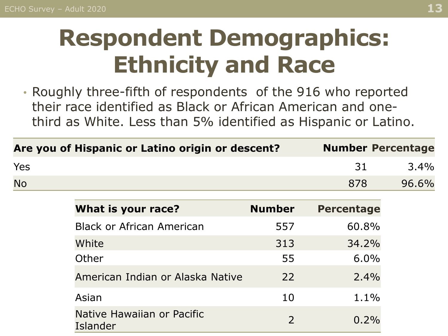### **Respondent Demographics: Ethnicity and Race**

• Roughly three-fifth of respondents of the 916 who reported their race identified as Black or African American and onethird as White. Less than 5% identified as Hispanic or Latino.

|            | Are you of Hispanic or Latino origin or descent? |                | <b>Number Percentage</b> |       |
|------------|--------------------------------------------------|----------------|--------------------------|-------|
| <b>Yes</b> |                                                  |                | 31                       | 3.4%  |
| <b>No</b>  |                                                  |                | 878                      | 96.6% |
|            | What is your race?                               | <b>Number</b>  | <b>Percentage</b>        |       |
|            | <b>Black or African American</b>                 | 557            | 60.8%                    |       |
|            | White                                            | 313            | 34.2%                    |       |
|            | Other                                            | 55             | 6.0%                     |       |
|            | American Indian or Alaska Native                 | 22             | 2.4%                     |       |
|            | Asian                                            | 10             | 1.1%                     |       |
|            | Native Hawaiian or Pacific<br>Islander           | $\overline{2}$ | 0.2%                     |       |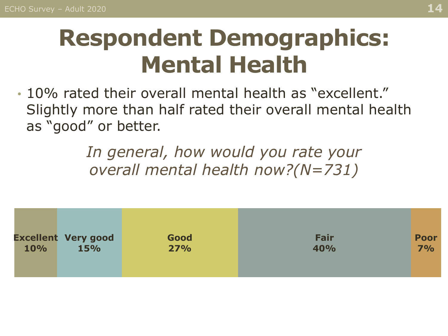### **Respondent Demographics: Mental Health**

• 10% rated their overall mental health as "excellent." Slightly more than half rated their overall mental health as "good" or better.

> *In general, how would you rate your overall mental health now?(N=731)*

| 10% | <b>Excellent Very good</b> | Good | Fair | <b>Poor</b> |
|-----|----------------------------|------|------|-------------|
|     | <b>15%</b>                 | 27%  | 40%  | 7%          |
|     |                            |      |      |             |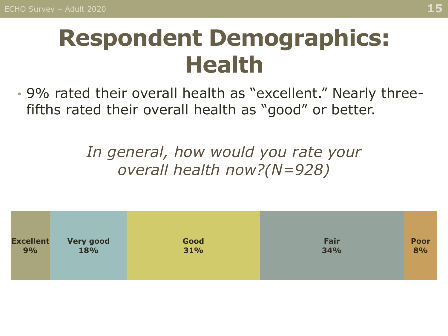### **Respondent Demographics: Health**

• 9% rated their overall health as "excellent." Nearly threefifths rated their overall health as "good" or better.

> *In general, how would you rate your overall health now?(N=928)*

| <b>Excellent</b> | <b>Very good</b> | Good | Fair | <b>Poor</b> |
|------------------|------------------|------|------|-------------|
| 9%               | <b>18%</b>       | 31%  | 34%  | 8%          |
|                  |                  |      |      |             |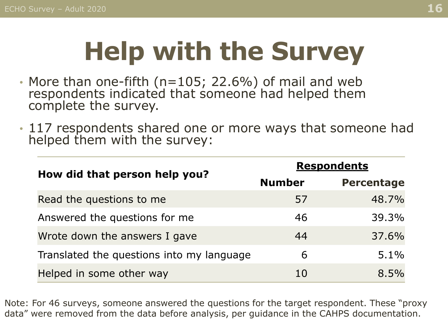# **Help with the Survey**

- More than one-fifth (n=105; 22.6%) of mail and web respondents indicated that someone had helped them complete the survey.
- 117 respondents shared one or more ways that someone had helped them with the survey:

|                                           | <b>Respondents</b> |                   |  |  |
|-------------------------------------------|--------------------|-------------------|--|--|
| How did that person help you?             | <b>Number</b>      | <b>Percentage</b> |  |  |
| Read the questions to me                  | 57                 | 48.7%             |  |  |
| Answered the questions for me             | 46                 | 39.3%             |  |  |
| Wrote down the answers I gave             | 44                 | 37.6%             |  |  |
| Translated the questions into my language | 6                  | $5.1\%$           |  |  |
| Helped in some other way                  | 10                 | 8.5%              |  |  |

Note: For 46 surveys, someone answered the questions for the target respondent. These "proxy data" were removed from the data before analysis, per guidance in the CAHPS documentation.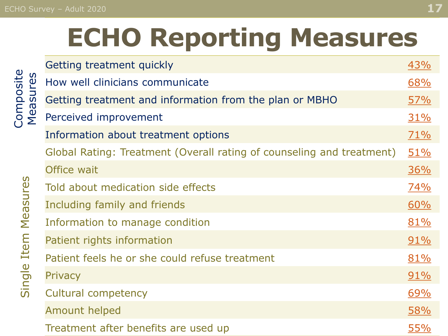#### <span id="page-16-0"></span>ECHO Survey – Adult 2020 **17**

# **ECHO Reporting Measures**

|                                                             | Getting treatment quickly                                             | <u>43%</u> |
|-------------------------------------------------------------|-----------------------------------------------------------------------|------------|
| res                                                         | How well clinicians communicate                                       | 68%        |
| Composite<br>$\boldsymbol{\omega}$<br>$\boldsymbol{\sigma}$ | Getting treatment and information from the plan or MBHO               | <u>57%</u> |
| $\mathbf 0$<br>Σ                                            | Perceived improvement                                                 | 31%        |
|                                                             | Information about treatment options                                   | 71%        |
|                                                             | Global Rating: Treatment (Overall rating of counseling and treatment) | 51%        |
|                                                             | Office wait                                                           | <u>36%</u> |
| Measures                                                    | Told about medication side effects                                    | 74%        |
|                                                             | Including family and friends                                          | 60%        |
|                                                             | Information to manage condition                                       | 81%        |
| Item                                                        | Patient rights information                                            | $91\%$     |
|                                                             | Patient feels he or she could refuse treatment                        | 81%        |
| Single                                                      | Privacy                                                               | $91\%$     |
|                                                             | <b>Cultural competency</b>                                            | 69%        |
|                                                             | <b>Amount helped</b>                                                  | 58%        |
|                                                             | Treatment after benefits are used up                                  | <u>55%</u> |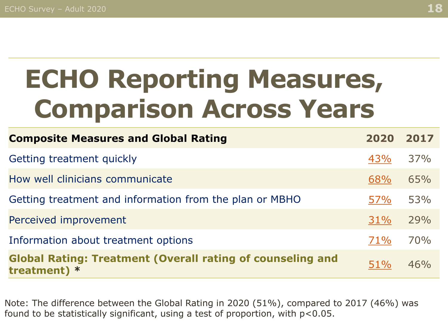# **ECHO Reporting Measures, Comparison Across Years**

| <b>Composite Measures and Global Rating</b>                                         | 2020       | 2017 |
|-------------------------------------------------------------------------------------|------------|------|
| Getting treatment quickly                                                           | 43%        | 37%  |
| How well clinicians communicate                                                     | 68%        | 65%  |
| Getting treatment and information from the plan or MBHO                             | 57%        | 53%  |
| Perceived improvement                                                               | 31%        | 29%  |
| Information about treatment options                                                 | 71%        | 70%  |
| <b>Global Rating: Treatment (Overall rating of counseling and</b><br>treatment) $*$ | <b>51%</b> | 46%  |

Note: The difference between the Global Rating in 2020 (51%), compared to 2017 (46%) was found to be statistically significant, using a test of proportion, with p<0.05.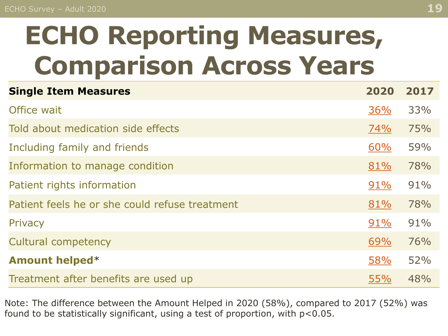# **ECHO Reporting Measures, Comparison Across Years**

| <b>Single Item Measures</b>                    | 2020       | 2017 |
|------------------------------------------------|------------|------|
| Office wait                                    | 36%        | 33%  |
| Told about medication side effects             | 74%        | 75%  |
| Including family and friends                   | 60%        | 59%  |
| Information to manage condition                | 81%        | 78%  |
| Patient rights information                     | 91%        | 91%  |
| Patient feels he or she could refuse treatment | 81%        | 78%  |
| Privacy                                        | 91%        | 91%  |
| <b>Cultural competency</b>                     | 69%        | 76%  |
| <b>Amount helped*</b>                          | 58%        | 52%  |
| Treatment after benefits are used up           | <b>55%</b> | 48%  |

Note: The difference between the Amount Helped in 2020 (58%), compared to 2017 (52%) was found to be statistically significant, using a test of proportion, with p<0.05.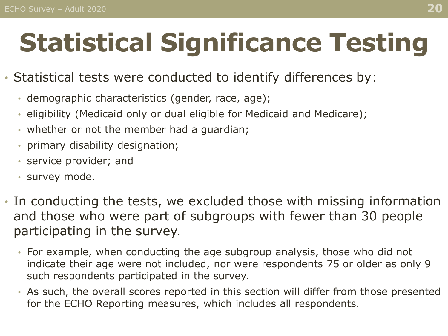# <span id="page-19-0"></span>**Statistical Significance Testing**

#### • Statistical tests were conducted to identify differences by:

- demographic characteristics (gender, race, age);
- eligibility (Medicaid only or dual eligible for Medicaid and Medicare);
- whether or not the member had a guardian;
- primary disability designation;
- service provider; and
- survey mode.
- In conducting the tests, we excluded those with missing information and those who were part of subgroups with fewer than 30 people participating in the survey.
	- For example, when conducting the age subgroup analysis, those who did not indicate their age were not included, nor were respondents 75 or older as only 9 such respondents participated in the survey.
	- As such, the overall scores reported in this section will differ from those presented for the ECHO Reporting measures, which includes all respondents.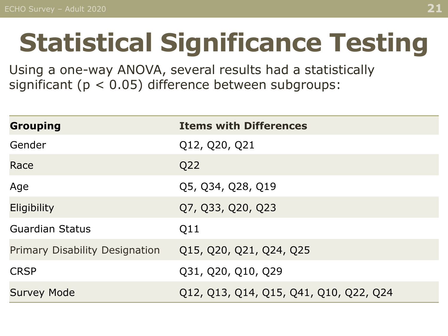# **Statistical Significance Testing**

Using a one-way ANOVA, several results had a statistically significant ( $p < 0.05$ ) difference between subgroups:

| <b>Grouping</b>                       | <b>Items with Differences</b>          |
|---------------------------------------|----------------------------------------|
| Gender                                | Q12, Q20, Q21                          |
| Race                                  | Q22                                    |
| Age                                   | Q5, Q34, Q28, Q19                      |
| Eligibility                           | Q7, Q33, Q20, Q23                      |
| <b>Guardian Status</b>                | Q11                                    |
| <b>Primary Disability Designation</b> | Q15, Q20, Q21, Q24, Q25                |
| <b>CRSP</b>                           | Q31, Q20, Q10, Q29                     |
| <b>Survey Mode</b>                    | Q12, Q13, Q14, Q15, Q41, Q10, Q22, Q24 |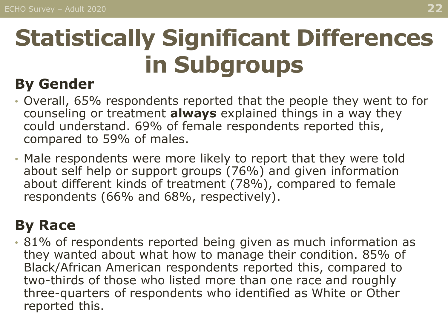### **By Gender**

- Overall, 65% respondents reported that the people they went to for counseling or treatment **always** explained things in a way they could understand. 69% of female respondents reported this, compared to 59% of males.
- Male respondents were more likely to report that they were told about self help or support groups (76%) and given information about different kinds of treatment (78%), compared to female respondents (66% and 68%, respectively).

### **By Race**

• 81% of respondents reported being given as much information as they wanted about what how to manage their condition. 85% of Black/African American respondents reported this, compared to two-thirds of those who listed more than one race and roughly three-quarters of respondents who identified as White or Other reported this.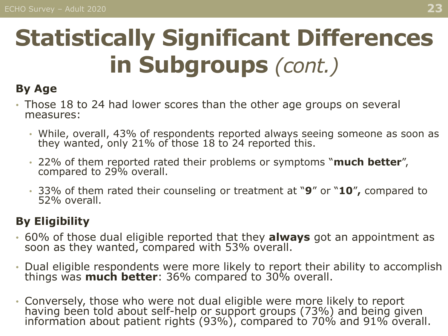#### **By Age**

- Those 18 to 24 had lower scores than the other age groups on several measures:
	- While, overall, 43% of respondents reported always seeing someone as soon as they wanted, only 21% of those 18 to 24 reported this.
	- 22% of them reported rated their problems or symptoms "**much better**", compared to 29% overall.
	- 33% of them rated their counseling or treatment at "**9**" or "**10**" **,** compared to 52% overall.

#### **By Eligibility**

- 60% of those dual eligible reported that they **always** got an appointment as soon as they wanted, compared with 53% overall.
- Dual eligible respondents were more likely to report their ability to accomplish things was **much better**: 36% compared to 30% overall.
- Conversely, those who were not dual eligible were more likely to report having been told about self-help or support groups (73%) and being given information about patient rights (93%), compared to 70% and 91% overall.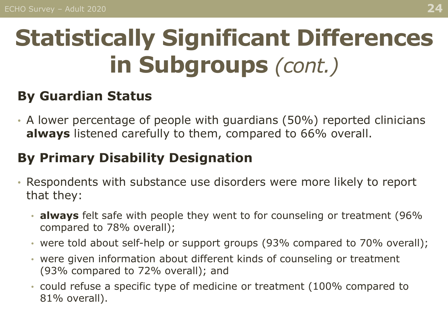#### **By Guardian Status**

• A lower percentage of people with guardians (50%) reported clinicians **always** listened carefully to them, compared to 66% overall.

#### **By Primary Disability Designation**

- Respondents with substance use disorders were more likely to report that they:
	- **always** felt safe with people they went to for counseling or treatment (96% compared to 78% overall);
	- were told about self-help or support groups (93% compared to 70% overall);
	- were given information about different kinds of counseling or treatment (93% compared to 72% overall); and
	- could refuse a specific type of medicine or treatment (100% compared to 81% overall).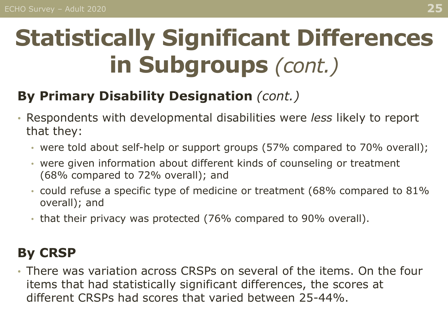#### **By Primary Disability Designation** *(cont.)*

- Respondents with developmental disabilities were *less* likely to report that they:
	- were told about self-help or support groups (57% compared to 70% overall);
	- were given information about different kinds of counseling or treatment (68% compared to 72% overall); and
	- could refuse a specific type of medicine or treatment (68% compared to 81% overall); and
	- that their privacy was protected (76% compared to 90% overall).

#### **By CRSP**

• There was variation across CRSPs on several of the items. On the four items that had statistically significant differences, the scores at different CRSPs had scores that varied between 25-44%.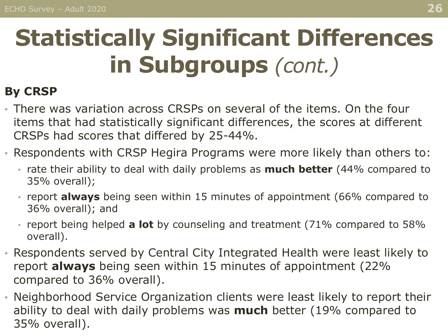#### **By CRSP**

- There was variation across CRSPs on several of the items. On the four items that had statistically significant differences, the scores at different CRSPs had scores that differed by 25-44%.
- Respondents with CRSP Hegira Programs were more likely than others to:
	- rate their ability to deal with daily problems as **much better** (44% compared to 35% overall);
	- report **always** being seen within 15 minutes of appointment (66% compared to 36% overall); and
	- report being helped **a lot** by counseling and treatment (71% compared to 58% overall).
- Respondents served by Central City Integrated Health were least likely to report **always** being seen within 15 minutes of appointment (22% compared to 36% overall).
- Neighborhood Service Organization clients were least likely to report their ability to deal with daily problems was **much** better (19% compared to 35% overall).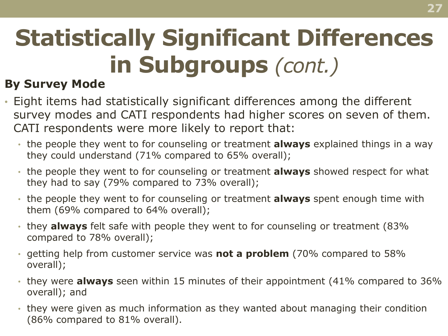#### **By Survey Mode**

- Eight items had statistically significant differences among the different survey modes and CATI respondents had higher scores on seven of them. CATI respondents were more likely to report that:
	- the people they went to for counseling or treatment **always** explained things in a way they could understand (71% compared to 65% overall);
	- the people they went to for counseling or treatment **always** showed respect for what they had to say (79% compared to 73% overall);
	- the people they went to for counseling or treatment **always** spent enough time with them (69% compared to 64% overall);
	- they **always** felt safe with people they went to for counseling or treatment (83% compared to 78% overall);
	- getting help from customer service was **not a problem** (70% compared to 58% overall);
	- they were **always** seen within 15 minutes of their appointment (41% compared to 36% overall); and
	- they were given as much information as they wanted about managing their condition (86% compared to 81% overall).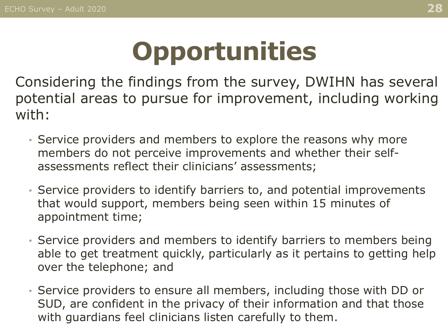## **Opportunities**

<span id="page-27-0"></span>Considering the findings from the survey, DWIHN has several potential areas to pursue for improvement, including working with:

- Service providers and members to explore the reasons why more members do not perceive improvements and whether their selfassessments reflect their clinicians' assessments;
- Service providers to identify barriers to, and potential improvements that would support, members being seen within 15 minutes of appointment time;
- Service providers and members to identify barriers to members being able to get treatment quickly, particularly as it pertains to getting help over the telephone; and
- Service providers to ensure all members, including those with DD or SUD, are confident in the privacy of their information and that those with guardians feel clinicians listen carefully to them.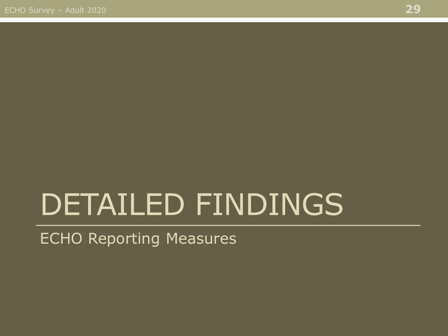# <span id="page-28-0"></span>DETAILED FINDINGS

#### ECHO Reporting Measures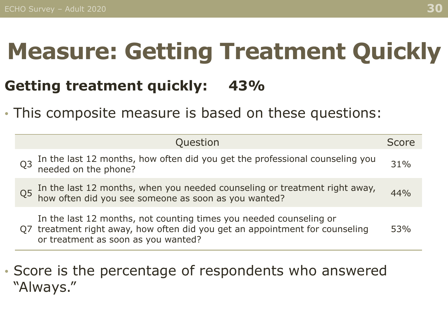### <span id="page-29-0"></span>**Measure: Getting Treatment Quickly**

### **Getting treatment quickly: 43%**

• This composite measure is based on these questions:

| Question                                                                                                                                                                                  | Score  |
|-------------------------------------------------------------------------------------------------------------------------------------------------------------------------------------------|--------|
| In the last 12 months, how often did you get the professional counseling you needed on the phone?<br>Q <sub>3</sub>                                                                       | $31\%$ |
| In the last 12 months, when you needed counseling or treatment right away, how often did you see someone as soon as you wanted?<br>Q <sub>5</sub>                                         | 44%    |
| In the last 12 months, not counting times you needed counseling or<br>Q7 treatment right away, how often did you get an appointment for counseling<br>or treatment as soon as you wanted? | 53%    |

#### • Score is the percentage of respondents who answered "Always."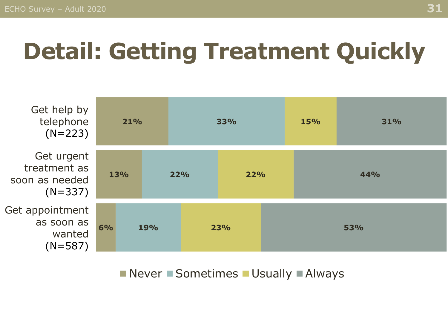## **Detail: Getting Treatment Quickly**



#### $\blacksquare$  Never  $\blacksquare$  Sometimes  $\blacksquare$  Usually  $\blacksquare$  Always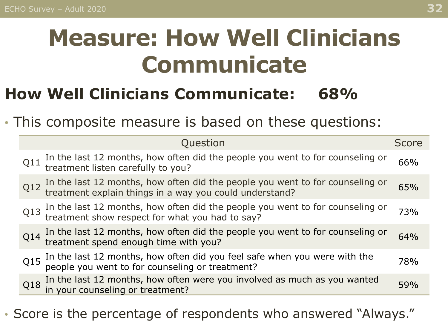## <span id="page-31-0"></span>**Measure: How Well Clinicians Communicate**

### **How Well Clinicians Communicate: 68%**

• This composite measure is based on these questions:

|     | Question                                                                                                                              | <b>Score</b> |
|-----|---------------------------------------------------------------------------------------------------------------------------------------|--------------|
| Q11 | In the last 12 months, how often did the people you went to for counseling or treatment listen carefully to you?                      | 66%          |
| Q12 | In the last 12 months, how often did the people you went to for counseling or treatment explain things in a way you could understand? | 65%          |
| Q13 | In the last 12 months, how often did the people you went to for counseling or treatment show respect for what you had to say?         | 73%          |
|     | $Q14$ In the last 12 months, how often did the people you went to for counseling or treatment spend enough time with you?             | 64%          |
| Q15 | In the last 12 months, how often did you feel safe when you were with the people you went to for counseling or treatment?             | 78%          |
| Q18 | In the last 12 months, how often were you involved as much as you wanted in your counseling or treatment?                             | 59%          |

• Score is the percentage of respondents who answered "Always."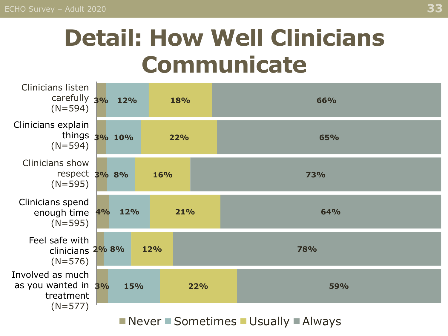### **Detail: How Well Clinicians Communicate**

| <b>Clinicians listen</b><br>carefully 3% 12%<br>$(N=594)$         |            |     | 18% |     |            | 66%        |  |
|-------------------------------------------------------------------|------------|-----|-----|-----|------------|------------|--|
| Clinicians explain<br>things 3% 10%<br>$(N=594)$                  |            |     | 22% |     |            | 65%        |  |
| <b>Clinicians show</b><br>respect 3% 8%<br>$(N=595)$              |            |     | 16% |     | <b>73%</b> |            |  |
| Clinicians spend<br>enough time 4%<br>$(N=595)$                   | 12%        |     | 21% |     |            | <b>64%</b> |  |
| Feel safe with<br>clinicians 2% 8%<br>$(N=576)$                   |            | 12% |     |     |            | <b>78%</b> |  |
| Involved as much<br>as you wanted in 3%<br>treatment<br>$(N=577)$ | <b>15%</b> |     |     | 22% |            | <b>59%</b> |  |

Never Sometimes Usually Always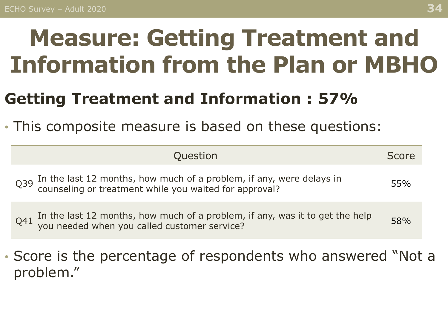## <span id="page-33-0"></span>**Measure: Getting Treatment and Information from the Plan or MBHO**

### **Getting Treatment and Information : 57%**

• This composite measure is based on these questions:

| Question                                                                                                                                       | Score |
|------------------------------------------------------------------------------------------------------------------------------------------------|-------|
| In the last 12 months, how much of a problem, if any, were delays in counseling or treatment while you waited for approval?<br>Q <sub>39</sub> | 55%   |
| Q41 In the last 12 months, how much of a problem, if any, was it to get the help you needed when you called customer service?                  | 58%   |

• Score is the percentage of respondents who answered "Not a problem."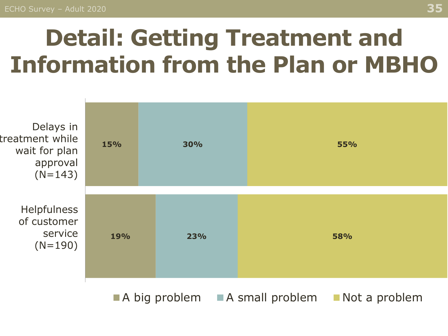### **Detail: Getting Treatment and Information from the Plan or MBHO**



 $\blacksquare$  A big problem  $\blacksquare$  A small problem  $\blacksquare$  Not a problem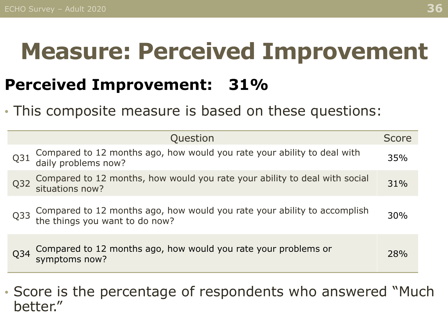### <span id="page-35-0"></span>**Measure: Perceived Improvement**

### **Perceived Improvement: 31%**

• This composite measure is based on these questions:

|     | Question                                                                                                   | Score |
|-----|------------------------------------------------------------------------------------------------------------|-------|
| Q31 | Compared to 12 months ago, how would you rate your ability to deal with daily problems now?                | 35%   |
| Q32 | Compared to 12 months, how would you rate your ability to deal with social<br>situations now?              | 31%   |
| Q33 | Compared to 12 months ago, how would you rate your ability to accomplish<br>the things you want to do now? | 30%   |
| Q34 | Compared to 12 months ago, how would you rate your problems or<br>symptoms now?                            | 28%   |

• Score is the percentage of respondents who answered "Much better."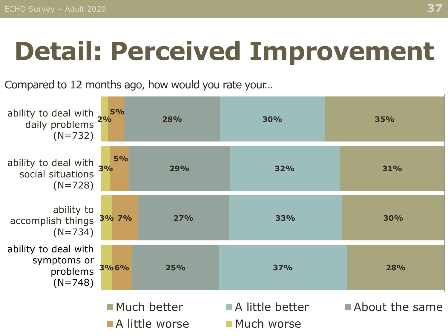## **Detail: Perceived Improvement**

Compared to 12 months ago, how would you rate your…

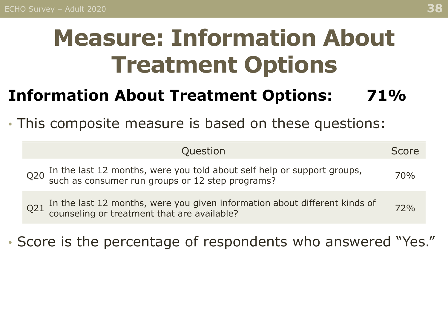## <span id="page-37-0"></span>**Measure: Information About Treatment Options**

### **Information About Treatment Options: 71%**

• This composite measure is based on these questions:

| Question                                                                                                                        | Score |
|---------------------------------------------------------------------------------------------------------------------------------|-------|
| Q20 In the last 12 months, were you told about self help or support groups,<br>such as consumer run groups or 12 step programs? | 70%   |
| Q21 In the last 12 months, were you given information about different kinds of counseling or treatment that are available?      | 72%   |

• Score is the percentage of respondents who answered "Yes."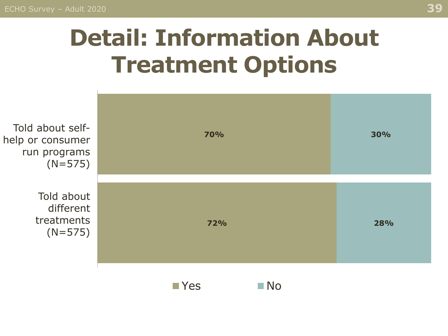## **Detail: Information About Treatment Options**

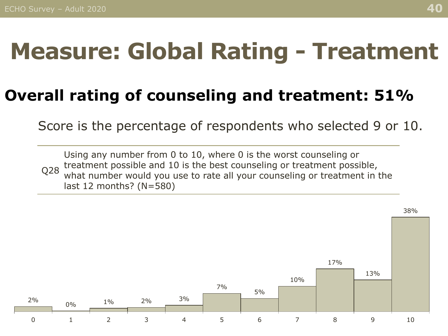### <span id="page-39-0"></span>**Measure: Global Rating - Treatment**

### **Overall rating of counseling and treatment: 51%**

Score is the percentage of respondents who selected 9 or 10.

Q28 Using any number from 0 to 10, where 0 is the worst counseling or treatment possible and 10 is the best counseling or treatment possible, what number would you use to rate all your counseling or treatment in the last 12 months? (N=580)

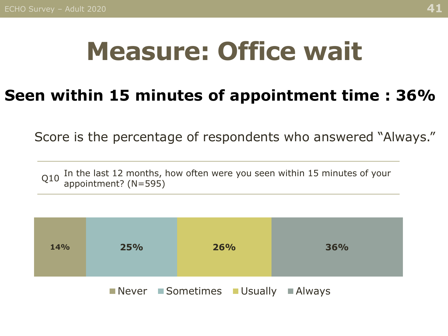## **Measure: Office wait**

### **Seen within 15 minutes of appointment time : 36%**

Score is the percentage of respondents who answered "Always."

Q10 In the last 12 months, how often were you seen within 15 minutes of your appointment? (N=595)

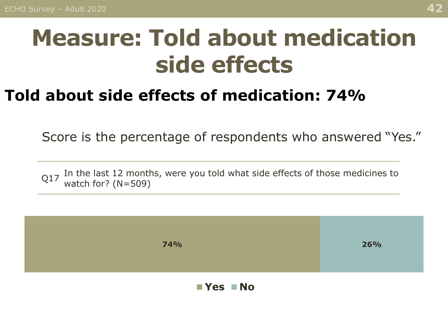### <span id="page-41-0"></span>**Measure: Told about medication side effects**

### **Told about side effects of medication: 74%**

Score is the percentage of respondents who answered "Yes."

Q17 In the last 12 months, were you told what side effects of those medicines to watch for? (N=509)

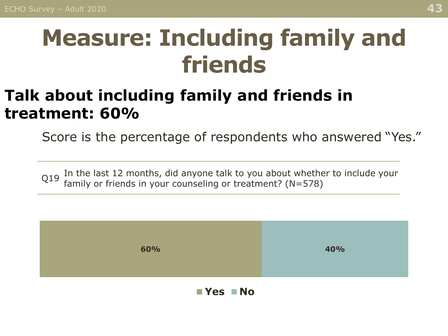### <span id="page-42-0"></span>**Measure: Including family and friends**

### **Talk about including family and friends in treatment: 60%**

Score is the percentage of respondents who answered "Yes."

 $Q19$  In the last 12 months, did anyone talk to you about whether to include your family or friends in your counseling or treatment? (N=578)



**Yes No**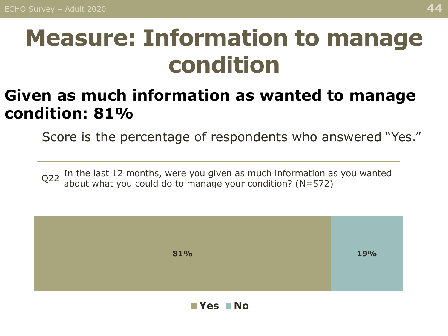### <span id="page-43-0"></span>**Measure: Information to manage condition**

### **Given as much information as wanted to manage condition: 81%**

Score is the percentage of respondents who answered "Yes."

 $Q22$  In the last 12 months, were you given as much information as you wanted about what you could do to manage your condition? (N=572)



**Yes No**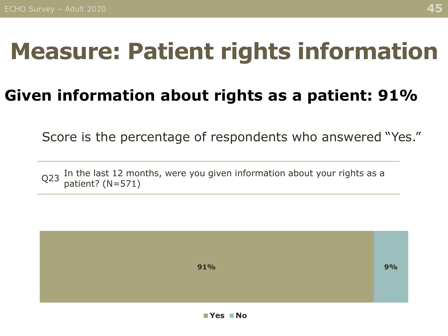### <span id="page-44-0"></span>**Measure: Patient rights information**

### **Given information about rights as a patient: 91%**

Score is the percentage of respondents who answered "Yes."

 $Q$ 23 In the last 12 months, were you given information about your rights as a patient? (N=571)

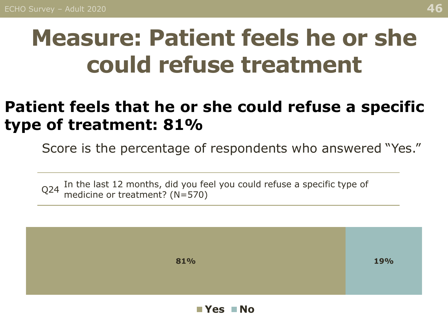### <span id="page-45-0"></span>**Measure: Patient feels he or she could refuse treatment**

### **Patient feels that he or she could refuse a specific type of treatment: 81%**

Score is the percentage of respondents who answered "Yes."

 $Q$ 24 In the last 12 months, did you feel you could refuse a specific type of  $Q$ 24 modicing or treatment?  $(M - 570)$ medicine or treatment? (N=570)



**Yes No**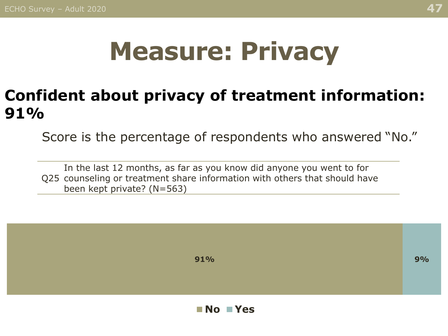## **Measure: Privacy**

### <span id="page-46-0"></span>**Confident about privacy of treatment information: 91%**

Score is the percentage of respondents who answered "No."

Q25 counseling or treatment share information with others that should have In the last 12 months, as far as you know did anyone you went to for been kept private? (N=563)

**91% 9%**

**No Yes**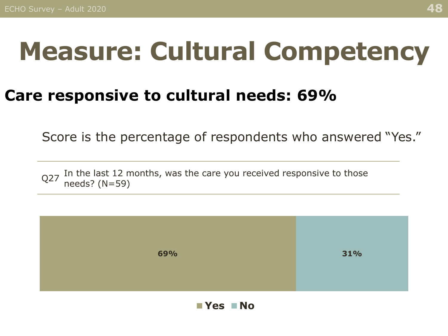## <span id="page-47-0"></span>**Measure: Cultural Competency**

#### **Care responsive to cultural needs: 69%**

Score is the percentage of respondents who answered "Yes."

Q27 In the last 12 months, was the care you received responsive to those needs? (N=59)



**Yes No**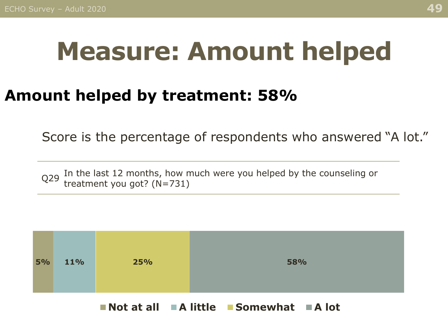## <span id="page-48-0"></span>**Measure: Amount helped**

### **Amount helped by treatment: 58%**

Score is the percentage of respondents who answered "A lot."

Q29 In the last 12 months, how much were you helped by the counseling or  $Q29$  treatment veu get? (N-721) treatment you got? (N=731)



**Not at all A little Somewhat A lot**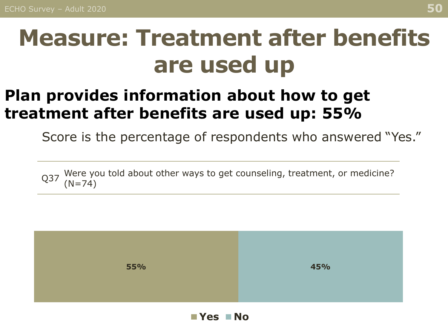### <span id="page-49-0"></span>**Measure: Treatment after benefits are used up**

### **Plan provides information about how to get treatment after benefits are used up: 55%**

Score is the percentage of respondents who answered "Yes."

Q37 Were you told about other ways to get counseling, treatment, or medicine?  $(N=74)$ 



**Yes No**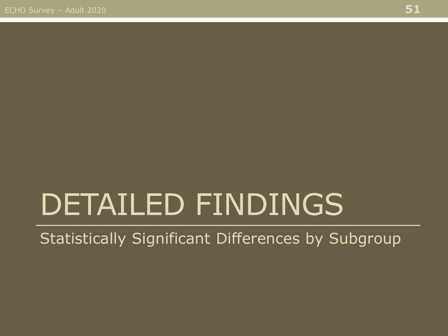# <span id="page-50-0"></span>DETAILED FINDINGS

Statistically Significant Differences by Subgroup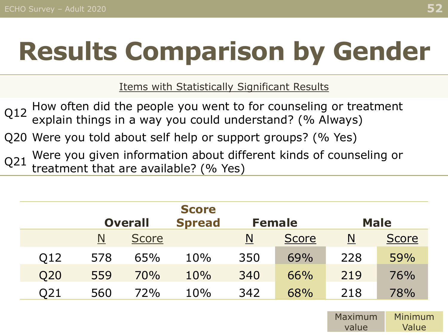# **Results Comparison by Gender**

Items with Statistically Significant Results

Q12 How often did the people you went to for counseling or treatment explain things in a way you could understand? (% Always)

Q20 Were you told about self help or support groups? (% Yes)

Q21 Were you given information about different kinds of counseling or treatment that are available? (% Yes)

|     |     | <b>Overall</b> |     | <b>Male</b> |              |     |              |
|-----|-----|----------------|-----|-------------|--------------|-----|--------------|
|     | N   | <b>Score</b>   |     | <u>N</u>    | <b>Score</b> | N   | <b>Score</b> |
| Q12 | 578 | 65%            | 10% | 350         | 69%          | 228 | 59%          |
| Q20 | 559 | 70%            | 10% | 340         | 66%          | 219 | 76%          |
| Q21 | 560 | 72%            | 10% | 342         | 68%          | 218 | 78%          |

Maximum value Minimum Value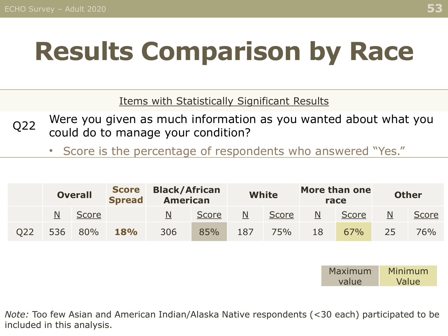# **Results Comparison by Race**

Items with Statistically Significant Results

- Q22 Were you given as much information as you wanted about what you could do to manage your condition?
	- Score is the percentage of respondents who answered "Yes."

|     | <b>Overall</b> |       | <b>Score</b><br><b>Spread</b> | <b>Black/African</b><br><b>American</b> |       | <b>White</b>            |       |    | More than one<br>race | <b>Other</b> |       |
|-----|----------------|-------|-------------------------------|-----------------------------------------|-------|-------------------------|-------|----|-----------------------|--------------|-------|
|     | Ν              | Score |                               | N                                       | Score | $\overline{\mathsf{N}}$ | Score | N  | Score                 | N            | Score |
| 022 | 536            | 80%   | <b>18%</b>                    | 306                                     | 85%   | 187                     | 75%   | 18 | 67%                   | 25           | 76%   |

| Maximum | Minimum |
|---------|---------|
| value   | Value   |

*Note:* Too few Asian and American Indian/Alaska Native respondents (<30 each) participated to be included in this analysis.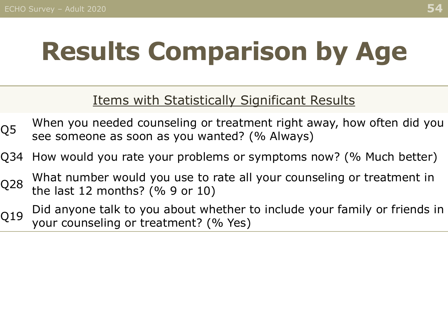# **Results Comparison by Age**

#### Items with Statistically Significant Results

- $Q5$  When you needed counseling or treatment right away, how often did you see someone as soon as you wanted? (% Always)
- Q34 How would you rate your problems or symptoms now? (% Much better)
- Q28 What number would you use to rate all your counseling or treatment in<br>Q28 the last 12 menthe? (% 0 er 10) the last 12 months? (% 9 or 10)
- Q19 Did anyone talk to you about whether to include your family or friends in your counseling or treatment? (% Yes)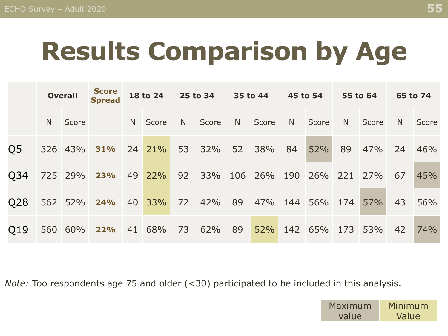# **Results Comparison by Age**

|     | <b>Overall</b>  |              | <b>Score</b><br><b>Spread</b> | 18 to 24 |               | 25 to 34 35 to 44 |        |    |                    | 45 to 54     |             | 55 to 64       |       | 65 to 74                |              |
|-----|-----------------|--------------|-------------------------------|----------|---------------|-------------------|--------|----|--------------------|--------------|-------------|----------------|-------|-------------------------|--------------|
|     | $\underline{N}$ | <b>Score</b> |                               |          | $N$ Score     | $\overline{M}$    | Score  | N  | Score              | $\mathbb{N}$ | Score       | $\overline{M}$ | Score | $\overline{\mathsf{M}}$ | <b>Score</b> |
| Q5  |                 | 326 43%      | 31%                           |          | 24 21%        | 53                | 32%    | 52 | 38%                | 84           | 52%         | 89             | 47%   | 24                      | 46%          |
| Q34 |                 | 725 29%      | 23%                           |          | 49 22% 92 33% |                   |        |    | 106 26%            | 190          | 26% 221     |                | 27%   | 67                      | 45%          |
| Q28 |                 | 562 52%      | 24%                           | 40       | 33%           |                   | 72 42% |    | 89 47% 144 56% 174 |              |             |                | 57%   | 43                      | 56%          |
| O19 |                 | 560 60%      | 22%                           |          | 41 68%        | 73                | 62%    | 89 | 52%                |              | 142 65% 173 |                | 53%   | 42                      | 74%          |

*Note:* Too respondents age 75 and older (<30) participated to be included in this analysis.

Maximum value Minimum Value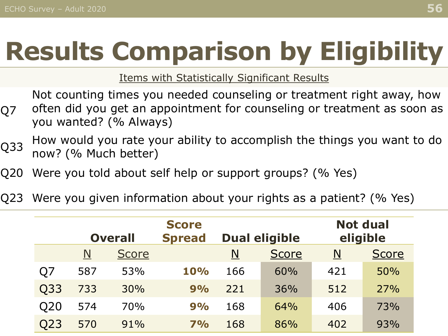# **Results Comparison by Eligibility**

Items with Statistically Significant Results

Q7 Not counting times you needed counseling or treatment right away, how often did you get an appointment for counseling or treatment as soon as you wanted? (% Always)

- Q33 How would you rate your ability to accomplish the things you want to do now? (% Much better)
- Q20 Were you told about self help or support groups? (% Yes)
- Q23 Were you given information about your rights as a patient? (% Yes)

|     |     | <b>Overall</b> | <b>Score</b><br><b>Spread</b> | <b>Dual eligible</b> | <b>Not dual</b><br>eligible |     |              |  |
|-----|-----|----------------|-------------------------------|----------------------|-----------------------------|-----|--------------|--|
|     | N   | <b>Score</b>   |                               | N                    | <b>Score</b>                | N   | <b>Score</b> |  |
| Q7  | 587 | 53%            | 10%                           | 166                  | 60%                         | 421 | 50%          |  |
| Q33 | 733 | 30%            | 9%                            | 221                  | 36%                         | 512 | 27%          |  |
| Q20 | 574 | 70%            | 9%                            | 168                  | 64%                         | 406 | 73%          |  |
| Q23 | 570 | 91%            | 7%                            | 168                  | 86%                         | 402 | 93%          |  |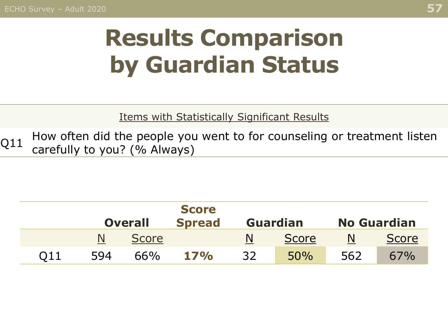## **Results Comparison by Guardian Status**

Items with Statistically Significant Results

Q11 How often did the people you went to for counseling or treatment listen  $Q11$ carefully to you? (% Always)

|                 |                |              | <b>Score</b>  |    |                 |                    |              |  |
|-----------------|----------------|--------------|---------------|----|-----------------|--------------------|--------------|--|
|                 | <b>Overall</b> |              | <b>Spread</b> |    | <b>Guardian</b> | <b>No Guardian</b> |              |  |
|                 |                | <b>Score</b> |               |    | <b>Score</b>    |                    | <b>Score</b> |  |
| O <sub>11</sub> | 594            | 66%          | 17%           | 32 | 50%             | 562                | 67%          |  |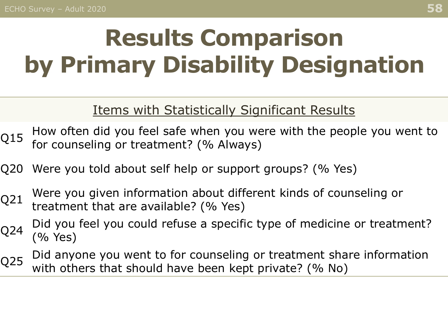## **Results Comparison by Primary Disability Designation**

#### Items with Statistically Significant Results

- $Q15$  How often did you feel safe when you were with the people you went to  $Q15$  for severaling or treatment? ( $\alpha$  Always) for counseling or treatment? (% Always)
- Q20 Were you told about self help or support groups? (% Yes)
- Q21 Were you given information about different kinds of counseling or treatment that are available? (% Yes)
- Q24 Did you feel you could refuse a specific type of medicine or treatment? (% Yes)
- Q25 Did anyone you went to for counseling or treatment share information<br>Q25 with others that should have been kent nijyate? (0) Ne) with others that should have been kept private? (% No)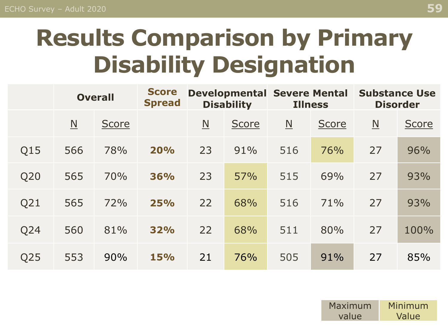## **Results Comparison by Primary Disability Designation**

|                 | <b>Overall</b>          |              | <b>Score</b><br><b>Spread</b> | <b>Developmental Severe Mental</b><br><b>Disability</b> |              | <b>Illness</b>           |              | <b>Substance Use</b><br><b>Disorder</b> |              |  |
|-----------------|-------------------------|--------------|-------------------------------|---------------------------------------------------------|--------------|--------------------------|--------------|-----------------------------------------|--------------|--|
|                 | $\overline{\mathsf{N}}$ | <b>Score</b> |                               | $\underline{\mathsf{N}}$                                | <b>Score</b> | $\underline{\mathsf{N}}$ | <b>Score</b> | $\underline{\mathsf{N}}$                | <b>Score</b> |  |
| Q15             | 566                     | 78%          | 20%                           | 23                                                      | 91%          | 516                      | 76%          | 27                                      | 96%          |  |
| Q20             | 565                     | 70%          | 36%                           | 23                                                      | 57%          | 515                      | 69%          | 27                                      | 93%          |  |
| Q21             | 565                     | 72%          | 25%                           | 22                                                      | 68%          | 516                      | 71%          | 27                                      | 93%          |  |
| Q24             | 560                     | 81%          | 32%                           | 22                                                      | 68%          | 511                      | 80%          | 27                                      | 100%         |  |
| Q <sub>25</sub> | 553                     | 90%          | 15%                           | 21                                                      | 76%          | 505                      | 91%          | 27                                      | 85%          |  |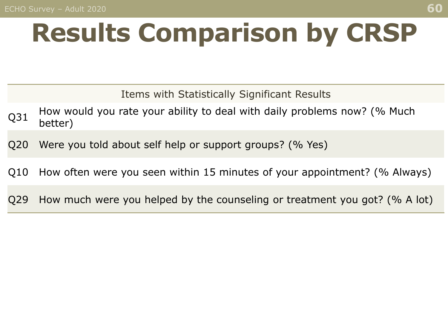# **Results Comparison by CRSP**

Items with Statistically Significant Results

- $Q31$  How would you rate your ability to deal with daily problems now? (% Much better)
- Q20 Were you told about self help or support groups? (% Yes)
- Q10 How often were you seen within 15 minutes of your appointment? (% Always)
- Q29 How much were you helped by the counseling or treatment you got? (% A lot)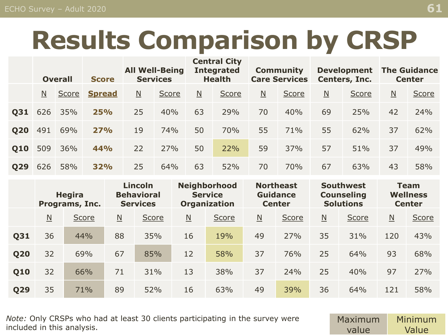## **Results Comparison by CRSP**

|            | <b>Overall</b> |       | <b>Score</b>  | <b>All Well-Being</b><br><b>Services</b> |       | <b>Central City</b><br><b>Integrated</b><br><b>Health</b> |       | <b>Community</b><br><b>Care Services</b> |       | <b>Development</b><br>Centers, Inc. |       | <b>The Guidance</b><br><b>Center</b> |       |
|------------|----------------|-------|---------------|------------------------------------------|-------|-----------------------------------------------------------|-------|------------------------------------------|-------|-------------------------------------|-------|--------------------------------------|-------|
|            | N              | Score | <b>Spread</b> | $\underline{\mathsf{N}}$                 | Score | $\underline{\mathsf{N}}$                                  | Score | $\underline{\mathsf{N}}$                 | Score | $\underline{\mathsf{N}}$            | Score | $\underline{\mathsf{N}}$             | Score |
| <b>Q31</b> | 626            | 35%   | <b>25%</b>    | 25                                       | 40%   | 63                                                        | 29%   | 70                                       | 40%   | 69                                  | 25%   | 42                                   | 24%   |
| <b>Q20</b> | 491            | 69%   | 27%           | 19                                       | 74%   | 50                                                        | 70%   | 55                                       | 71%   | 55                                  | 62%   | 37                                   | 62%   |
| Q10        | 509            | 36%   | 44%           | 22                                       | 27%   | 50                                                        | 22%   | 59                                       | 37%   | 57                                  | 51%   | 37                                   | 49%   |
| <b>Q29</b> | 626            | 58%   | 32%           | 25                                       | 64%   | 63                                                        | 52%   | 70                                       | 70%   | 67                                  | 63%   | 43                                   | 58%   |

|            | <b>Hegira</b><br>Programs, Inc. |              | Lincoln<br><b>Behavioral</b><br><b>Services</b> |       | <b>Neighborhood</b><br><b>Service</b><br><b>Organization</b> |       | <b>Northeast</b><br><b>Guidance</b><br><b>Center</b> |       | <b>Southwest</b><br><b>Counseling</b><br><b>Solutions</b> |       | <b>Team</b><br><b>Wellness</b><br><b>Center</b> |       |
|------------|---------------------------------|--------------|-------------------------------------------------|-------|--------------------------------------------------------------|-------|------------------------------------------------------|-------|-----------------------------------------------------------|-------|-------------------------------------------------|-------|
|            | $\underline{\mathsf{N}}$        | <b>Score</b> | $\underline{\mathsf{N}}$                        | Score | $\underline{\mathsf{N}}$                                     | Score | $\underline{\mathsf{N}}$                             | Score | N                                                         | Score | $\underline{\mathsf{N}}$                        | Score |
| <b>Q31</b> | 36                              | 44%          | 88                                              | 35%   | 16                                                           | 19%   | 49                                                   | 27%   | 35                                                        | 31%   | 120                                             | 43%   |
| <b>Q20</b> | 32                              | 69%          | 67                                              | 85%   | 12                                                           | 58%   | 37                                                   | 76%   | 25                                                        | 64%   | 93                                              | 68%   |
| Q10        | 32                              | 66%          | 71                                              | 31%   | 13                                                           | 38%   | 37                                                   | 24%   | 25                                                        | 40%   | 97                                              | 27%   |
| <b>Q29</b> | 35                              | 71%          | 89                                              | 52%   | 16                                                           | 63%   | 49                                                   | 39%   | 36                                                        | 64%   | 121                                             | 58%   |

• *Note:* Only CRSPs who had at least 30 clients participating in the survey were included in this analysis.

Maximum value Minimum Value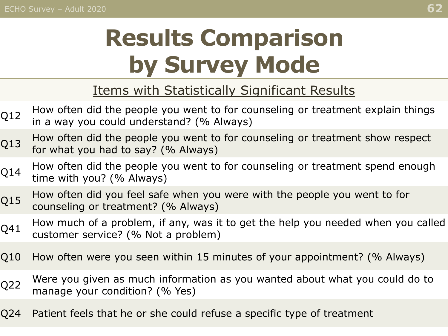## **Results Comparison by Survey Mode**

#### Items with Statistically Significant Results

| Q12             | How often did the people you went to for counseling or treatment explain things<br>in a way you could understand? (% Always) |
|-----------------|------------------------------------------------------------------------------------------------------------------------------|
| Q13             | How often did the people you went to for counseling or treatment show respect<br>for what you had to say? (% Always)         |
| Q14             | How often did the people you went to for counseling or treatment spend enough<br>time with you? (% Always)                   |
| Q15             | How often did you feel safe when you were with the people you went to for<br>counseling or treatment? (% Always)             |
| Q41             | How much of a problem, if any, was it to get the help you needed when you called<br>customer service? (% Not a problem)      |
| Q10             | How often were you seen within 15 minutes of your appointment? (% Always)                                                    |
| Q <sub>22</sub> | Were you given as much information as you wanted about what you could do to<br>manage your condition? (% Yes)                |
| Q24             | Patient feels that he or she could refuse a specific type of treatment                                                       |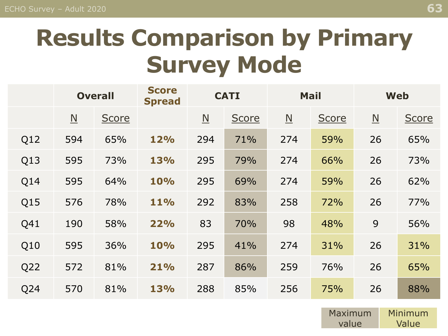### **Results Comparison by Primary Survey Mode**

|                 | <b>Overall</b>           |       | <b>Score</b><br><b>Spread</b> | <b>CATI</b>              |       | <b>Mail</b>             |              | <b>Web</b>               |       |
|-----------------|--------------------------|-------|-------------------------------|--------------------------|-------|-------------------------|--------------|--------------------------|-------|
|                 | $\underline{\mathsf{N}}$ | Score |                               | $\underline{\mathsf{N}}$ | Score | $\overline{\mathsf{N}}$ | <b>Score</b> | $\underline{\mathsf{N}}$ | Score |
| Q12             | 594                      | 65%   | 12%                           | 294                      | 71%   | 274                     | 59%          | 26                       | 65%   |
| Q13             | 595                      | 73%   | 13%                           | 295                      | 79%   | 274                     | 66%          | 26                       | 73%   |
| Q14             | 595                      | 64%   | 10%                           | 295                      | 69%   | 274                     | 59%          | 26                       | 62%   |
| Q15             | 576                      | 78%   | 11%                           | 292                      | 83%   | 258                     | 72%          | 26                       | 77%   |
| Q41             | 190                      | 58%   | 22%                           | 83                       | 70%   | 98                      | 48%          | 9                        | 56%   |
| Q10             | 595                      | 36%   | 10%                           | 295                      | 41%   | 274                     | 31%          | 26                       | 31%   |
| Q <sub>22</sub> | 572                      | 81%   | 21%                           | 287                      | 86%   | 259                     | 76%          | 26                       | 65%   |
| Q24             | 570                      | 81%   | 13%                           | 288                      | 85%   | 256                     | 75%          | 26                       | 88%   |

Maximum value Minimum Value